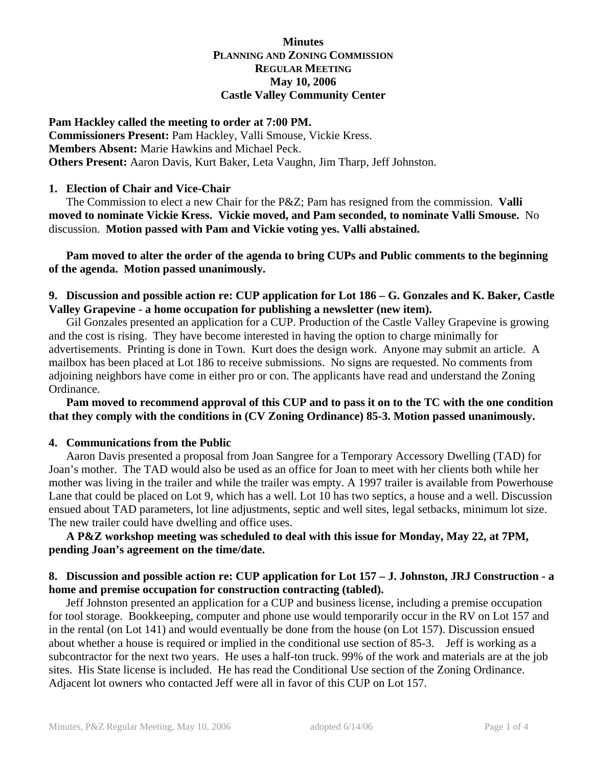## **Minutes PLANNING AND ZONING COMMISSION REGULAR MEETING May 10, 2006 Castle Valley Community Center**

**Pam Hackley called the meeting to order at 7:00 PM. Commissioners Present:** Pam Hackley, Valli Smouse, Vickie Kress. **Members Absent:** Marie Hawkins and Michael Peck. **Others Present:** Aaron Davis, Kurt Baker, Leta Vaughn, Jim Tharp, Jeff Johnston.

#### **1. Election of Chair and Vice-Chair**

 The Commission to elect a new Chair for the P&Z; Pam has resigned from the commission. **Valli moved to nominate Vickie Kress. Vickie moved, and Pam seconded, to nominate Valli Smouse.** No discussion. **Motion passed with Pam and Vickie voting yes. Valli abstained.**

 **Pam moved to alter the order of the agenda to bring CUPs and Public comments to the beginning of the agenda. Motion passed unanimously.** 

## **9. Discussion and possible action re: CUP application for Lot 186 – G. Gonzales and K. Baker, Castle Valley Grapevine - a home occupation for publishing a newsletter (new item).**

 Gil Gonzales presented an application for a CUP. Production of the Castle Valley Grapevine is growing and the cost is rising. They have become interested in having the option to charge minimally for advertisements. Printing is done in Town. Kurt does the design work. Anyone may submit an article. A mailbox has been placed at Lot 186 to receive submissions. No signs are requested. No comments from adjoining neighbors have come in either pro or con. The applicants have read and understand the Zoning Ordinance.

#### **Pam moved to recommend approval of this CUP and to pass it on to the TC with the one condition that they comply with the conditions in (CV Zoning Ordinance) 85-3. Motion passed unanimously.**

### **4. Communications from the Public**

 Aaron Davis presented a proposal from Joan Sangree for a Temporary Accessory Dwelling (TAD) for Joan's mother. The TAD would also be used as an office for Joan to meet with her clients both while her mother was living in the trailer and while the trailer was empty. A 1997 trailer is available from Powerhouse Lane that could be placed on Lot 9, which has a well. Lot 10 has two septics, a house and a well. Discussion ensued about TAD parameters, lot line adjustments, septic and well sites, legal setbacks, minimum lot size. The new trailer could have dwelling and office uses.

## **A P&Z workshop meeting was scheduled to deal with this issue for Monday, May 22, at 7PM, pending Joan's agreement on the time/date.**

### **8. Discussion and possible action re: CUP application for Lot 157 – J. Johnston, JRJ Construction - a home and premise occupation for construction contracting (tabled).**

 Jeff Johnston presented an application for a CUP and business license, including a premise occupation for tool storage. Bookkeeping, computer and phone use would temporarily occur in the RV on Lot 157 and in the rental (on Lot 141) and would eventually be done from the house (on Lot 157). Discussion ensued about whether a house is required or implied in the conditional use section of 85-3. Jeff is working as a subcontractor for the next two years. He uses a half-ton truck. 99% of the work and materials are at the job sites. His State license is included. He has read the Conditional Use section of the Zoning Ordinance. Adjacent lot owners who contacted Jeff were all in favor of this CUP on Lot 157.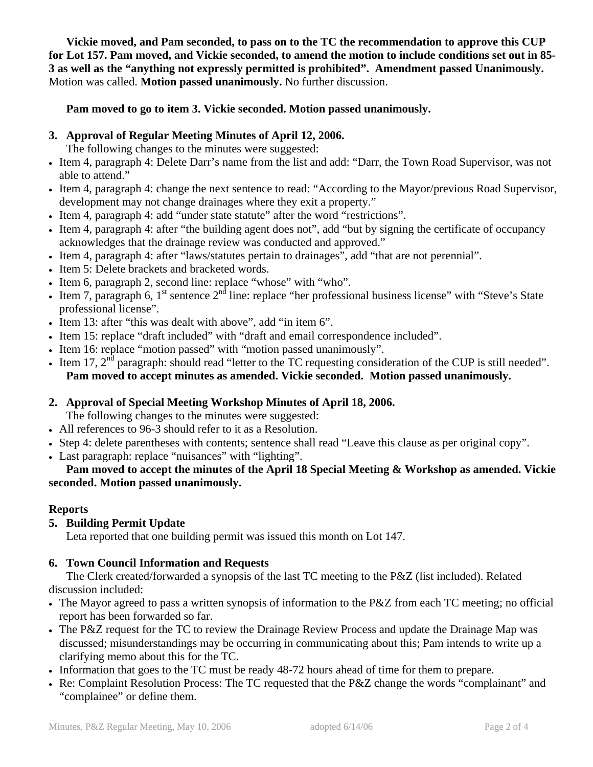**Vickie moved, and Pam seconded, to pass on to the TC the recommendation to approve this CUP for Lot 157. Pam moved, and Vickie seconded, to amend the motion to include conditions set out in 85- 3 as well as the "anything not expressly permitted is prohibited". Amendment passed Unanimously.** Motion was called. **Motion passed unanimously.** No further discussion.

# **Pam moved to go to item 3. Vickie seconded. Motion passed unanimously.**

# **3. Approval of Regular Meeting Minutes of April 12, 2006.**

The following changes to the minutes were suggested:

- Item 4, paragraph 4: Delete Darr's name from the list and add: "Darr, the Town Road Supervisor, was not able to attend."
- Item 4, paragraph 4: change the next sentence to read: "According to the Mayor/previous Road Supervisor, development may not change drainages where they exit a property."
- Item 4, paragraph 4: add "under state statute" after the word "restrictions".
- Item 4, paragraph 4: after "the building agent does not", add "but by signing the certificate of occupancy acknowledges that the drainage review was conducted and approved."
- Item 4, paragraph 4: after "laws/statutes pertain to drainages", add "that are not perennial".
- Item 5: Delete brackets and bracketed words.
- Item 6, paragraph 2, second line: replace "whose" with "who".
- Item 7, paragraph 6,  $1^{st}$  sentence  $2^{nd}$  line: replace "her professional business license" with "Steve's State professional license".
- Item 13: after "this was dealt with above", add "in item 6".
- Item 15: replace "draft included" with "draft and email correspondence included".
- Item 16: replace "motion passed" with "motion passed unanimously".
- Item 17,  $2<sup>nd</sup>$  paragraph: should read "letter to the TC requesting consideration of the CUP is still needed".  **Pam moved to accept minutes as amended. Vickie seconded. Motion passed unanimously.**

# **2. Approval of Special Meeting Workshop Minutes of April 18, 2006.**

The following changes to the minutes were suggested:

- All references to 96-3 should refer to it as a Resolution.
- Step 4: delete parentheses with contents; sentence shall read "Leave this clause as per original copy".
- Last paragraph: replace "nuisances" with "lighting".

# **Pam moved to accept the minutes of the April 18 Special Meeting & Workshop as amended. Vickie seconded. Motion passed unanimously.**

# **Reports**

# **5. Building Permit Update**

Leta reported that one building permit was issued this month on Lot 147.

# **6. Town Council Information and Requests**

 The Clerk created/forwarded a synopsis of the last TC meeting to the P&Z (list included). Related discussion included:

- The Mayor agreed to pass a written synopsis of information to the P&Z from each TC meeting; no official report has been forwarded so far.
- The P&Z request for the TC to review the Drainage Review Process and update the Drainage Map was discussed; misunderstandings may be occurring in communicating about this; Pam intends to write up a clarifying memo about this for the TC.
- Information that goes to the TC must be ready 48-72 hours ahead of time for them to prepare.
- Re: Complaint Resolution Process: The TC requested that the P&Z change the words "complainant" and "complainee" or define them.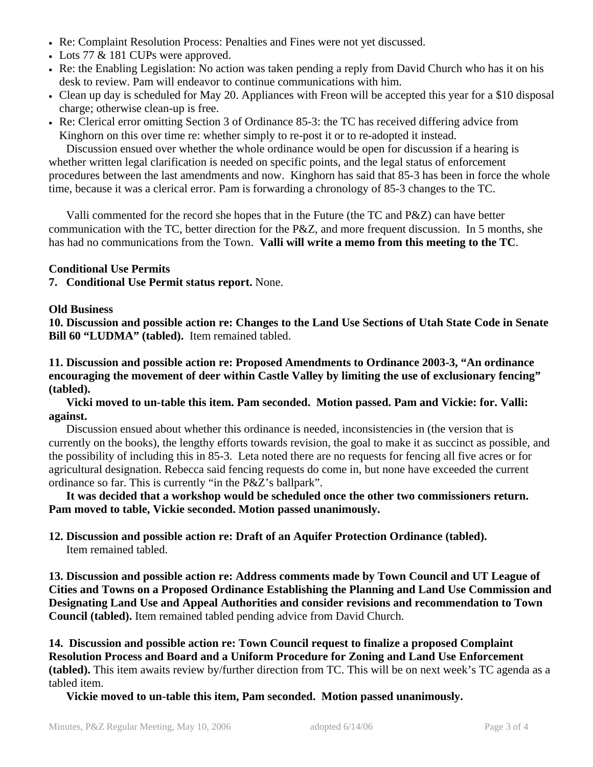- Re: Complaint Resolution Process: Penalties and Fines were not yet discussed.
- Lots 77 & 181 CUPs were approved.
- Re: the Enabling Legislation: No action was taken pending a reply from David Church who has it on his desk to review. Pam will endeavor to continue communications with him.
- Clean up day is scheduled for May 20. Appliances with Freon will be accepted this year for a \$10 disposal charge; otherwise clean-up is free.
- Re: Clerical error omitting Section 3 of Ordinance 85-3: the TC has received differing advice from Kinghorn on this over time re: whether simply to re-post it or to re-adopted it instead.

 Discussion ensued over whether the whole ordinance would be open for discussion if a hearing is whether written legal clarification is needed on specific points, and the legal status of enforcement procedures between the last amendments and now. Kinghorn has said that 85-3 has been in force the whole time, because it was a clerical error. Pam is forwarding a chronology of 85-3 changes to the TC.

 Valli commented for the record she hopes that in the Future (the TC and P&Z) can have better communication with the TC, better direction for the P&Z, and more frequent discussion. In 5 months, she has had no communications from the Town. **Valli will write a memo from this meeting to the TC**.

# **Conditional Use Permits**

**7. Conditional Use Permit status report.** None.

# **Old Business**

**10. Discussion and possible action re: Changes to the Land Use Sections of Utah State Code in Senate Bill 60 "LUDMA" (tabled).** Item remained tabled.

**11. Discussion and possible action re: Proposed Amendments to Ordinance 2003-3, "An ordinance encouraging the movement of deer within Castle Valley by limiting the use of exclusionary fencing" (tabled).**

**Vicki moved to un-table this item. Pam seconded. Motion passed. Pam and Vickie: for. Valli: against.**

 Discussion ensued about whether this ordinance is needed, inconsistencies in (the version that is currently on the books), the lengthy efforts towards revision, the goal to make it as succinct as possible, and the possibility of including this in 85-3. Leta noted there are no requests for fencing all five acres or for agricultural designation. Rebecca said fencing requests do come in, but none have exceeded the current ordinance so far. This is currently "in the P&Z's ballpark".

 **It was decided that a workshop would be scheduled once the other two commissioners return. Pam moved to table, Vickie seconded. Motion passed unanimously.** 

#### **12. Discussion and possible action re: Draft of an Aquifer Protection Ordinance (tabled).** Item remained tabled.

**13. Discussion and possible action re: Address comments made by Town Council and UT League of Cities and Towns on a Proposed Ordinance Establishing the Planning and Land Use Commission and Designating Land Use and Appeal Authorities and consider revisions and recommendation to Town Council (tabled).** Item remained tabled pending advice from David Church.

**14. Discussion and possible action re: Town Council request to finalize a proposed Complaint Resolution Process and Board and a Uniform Procedure for Zoning and Land Use Enforcement (tabled).** This item awaits review by/further direction from TC. This will be on next week's TC agenda as a tabled item.

 **Vickie moved to un-table this item, Pam seconded. Motion passed unanimously.**